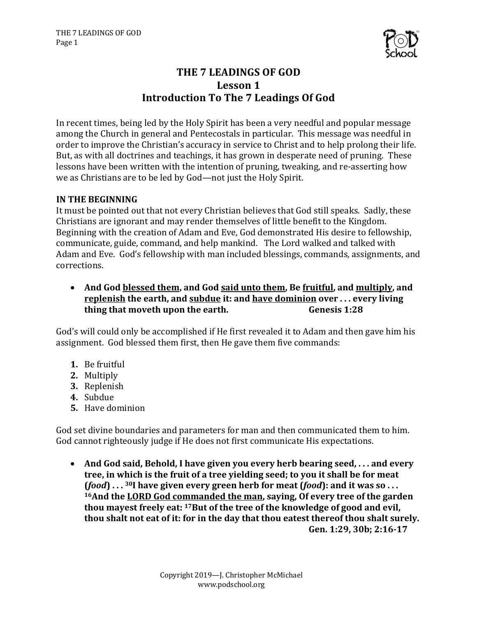

# **THE 7 LEADINGS OF GOD** Lesson 1 **Introduction To The 7 Leadings Of God**

In recent times, being led by the Holy Spirit has been a very needful and popular message among the Church in general and Pentecostals in particular. This message was needful in order to improve the Christian's accuracy in service to Christ and to help prolong their life. But, as with all doctrines and teachings, it has grown in desperate need of pruning. These lessons have been written with the intention of pruning, tweaking, and re-asserting how we as Christians are to be led by God—not just the Holy Spirit.

# **IN THE BEGINNING**

It must be pointed out that not every Christian believes that God still speaks. Sadly, these Christians are ignorant and may render themselves of little benefit to the Kingdom. Beginning with the creation of Adam and Eve, God demonstrated His desire to fellowship. communicate, guide, command, and help mankind. The Lord walked and talked with Adam and Eve. God's fellowship with man included blessings, commands, assignments, and corrections.

• And God blessed them, and God said unto them, Be fruitful, and multiply, and **replenish the earth, and subdue it: and have dominion over ... every living thing that moveth upon the earth. Genesis 1:28** 

God's will could only be accomplished if He first revealed it to Adam and then gave him his assignment. God blessed them first, then He gave them five commands:

- **1.** Be fruitful
- **2.** Multiply
- **3.** Replenish
- **4.** Subdue
- **5.** Have dominion

God set divine boundaries and parameters for man and then communicated them to him. God cannot righteously judge if He does not first communicate His expectations.

• And God said, Behold, I have given you every herb bearing seed, ... and every tree, in which is the fruit of a tree yielding seed; to you it shall be for meat  $(food) \ldots$  <sup>30</sup>I have given every green herb for meat  $(food)$ : and it was so ... <sup>16</sup>And the LORD God commanded the man, saying, Of every tree of the garden thou mayest freely eat: <sup>17</sup>But of the tree of the knowledge of good and evil, thou shalt not eat of it: for in the day that thou eatest thereof thou shalt surely. Gen. 1:29, 30b; 2:16-17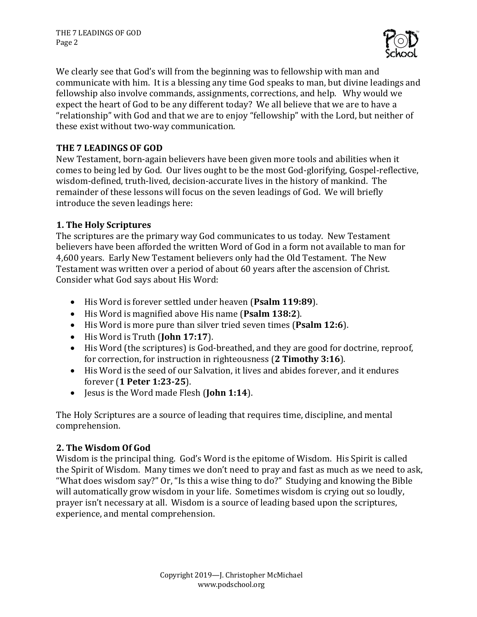

We clearly see that God's will from the beginning was to fellowship with man and communicate with him. It is a blessing any time God speaks to man, but divine leadings and fellowship also involve commands, assignments, corrections, and help. Why would we expect the heart of God to be any different today? We all believe that we are to have a "relationship" with God and that we are to enjoy "fellowship" with the Lord, but neither of these exist without two-way communication.

# **THE 7 LEADINGS OF GOD**

New Testament, born-again believers have been given more tools and abilities when it comes to being led by God. Our lives ought to be the most God-glorifying, Gospel-reflective, wisdom-defined, truth-lived, decision-accurate lives in the history of mankind. The remainder of these lessons will focus on the seven leadings of God. We will briefly introduce the seven leadings here:

# **1. The Holy Scriptures**

The scriptures are the primary way God communicates to us today. New Testament believers have been afforded the written Word of God in a form not available to man for 4,600 years. Early New Testament believers only had the Old Testament. The New Testament was written over a period of about 60 years after the ascension of Christ. Consider what God says about His Word:

- His Word is forever settled under heaven (Psalm 119:89).
- His Word is magnified above His name (Psalm 138:2).
- His Word is more pure than silver tried seven times (Psalm 12:6).
- His Word is Truth (**John 17:17**).
- His Word (the scriptures) is God-breathed, and they are good for doctrine, reproof, for correction, for instruction in righteousness (2 Timothy 3:16).
- His Word is the seed of our Salvation, it lives and abides forever, and it endures forever (**1 Peter 1:23-25**).
- Jesus is the Word made Flesh (**John 1:14**).

The Holy Scriptures are a source of leading that requires time, discipline, and mental comprehension. 

## **2. The Wisdom Of God**

Wisdom is the principal thing. God's Word is the epitome of Wisdom. His Spirit is called the Spirit of Wisdom. Many times we don't need to pray and fast as much as we need to ask, "What does wisdom say?" Or, "Is this a wise thing to do?" Studying and knowing the Bible will automatically grow wisdom in your life. Sometimes wisdom is crying out so loudly, prayer isn't necessary at all. Wisdom is a source of leading based upon the scriptures, experience, and mental comprehension.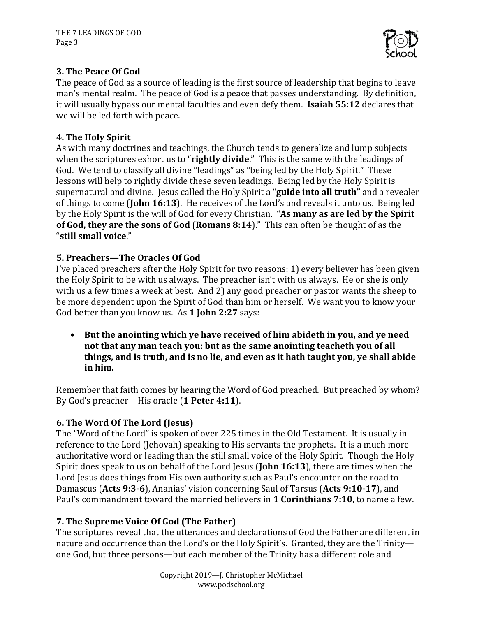

# **3. The Peace Of God**

The peace of God as a source of leading is the first source of leadership that begins to leave man's mental realm. The peace of God is a peace that passes understanding. By definition, it will usually bypass our mental faculties and even defy them. **Isaiah 55:12** declares that we will be led forth with peace.

# **4. The Holy Spirit**

As with many doctrines and teachings, the Church tends to generalize and lump subjects when the scriptures exhort us to "**rightly divide**." This is the same with the leadings of God. We tend to classify all divine "leadings" as "being led by the Holy Spirit." These lessons will help to rightly divide these seven leadings. Being led by the Holy Spirit is supernatural and divine. Jesus called the Holy Spirit a "guide into all truth" and a revealer of things to come (**John 16:13**). He receives of the Lord's and reveals it unto us. Being led by the Holy Spirit is the will of God for every Christian. "As many as are led by the Spirit of God, they are the sons of God (Romans 8:14)." This can often be thought of as the "**still small voice**." 

# **5. Preachers—The Oracles Of God**

I've placed preachers after the Holy Spirit for two reasons: 1) every believer has been given the Holy Spirit to be with us always. The preacher isn't with us always. He or she is only with us a few times a week at best. And 2) any good preacher or pastor wants the sheep to be more dependent upon the Spirit of God than him or herself. We want you to know your God better than you know us. As 1 **John 2:27** says:

• But the anointing which ye have received of him abideth in you, and ye need not that any man teach you: but as the same anointing teacheth you of all things, and is truth, and is no lie, and even as it hath taught you, ve shall abide **in him.** 

Remember that faith comes by hearing the Word of God preached. But preached by whom? By God's preacher—His oracle (1 Peter 4:11).

# **6. The Word Of The Lord (Jesus)**

The "Word of the Lord" is spoken of over 225 times in the Old Testament. It is usually in reference to the Lord (Jehovah) speaking to His servants the prophets. It is a much more authoritative word or leading than the still small voice of the Holy Spirit. Though the Holy Spirit does speak to us on behalf of the Lord Jesus (John 16:13), there are times when the Lord Jesus does things from His own authority such as Paul's encounter on the road to Damascus (Acts 9:3-6), Ananias' vision concerning Saul of Tarsus (Acts 9:10-17), and Paul's commandment toward the married believers in 1 Corinthians 7:10, to name a few.

# **7. The Supreme Voice Of God (The Father)**

The scriptures reveal that the utterances and declarations of God the Father are different in nature and occurrence than the Lord's or the Holy Spirit's. Granted, they are the Trinityone God, but three persons—but each member of the Trinity has a different role and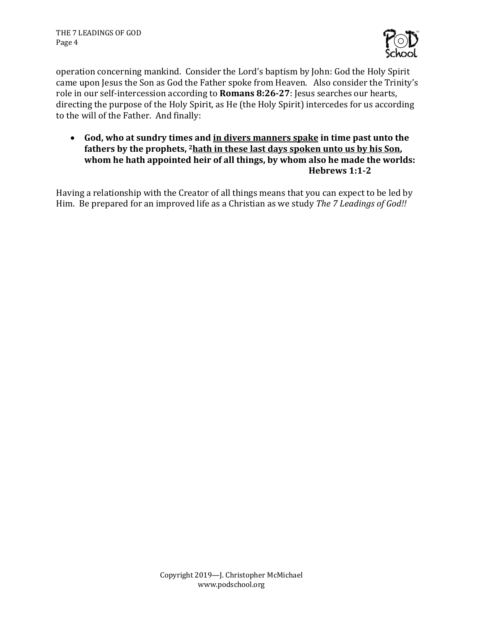

operation concerning mankind. Consider the Lord's baptism by John: God the Holy Spirit came upon Jesus the Son as God the Father spoke from Heaven. Also consider the Trinity's role in our self-intercession according to **Romans 8:26-27**: Jesus searches our hearts, directing the purpose of the Holy Spirit, as He (the Holy Spirit) intercedes for us according to the will of the Father. And finally:

• God, who at sundry times and in divers manners spake in time past unto the fathers by the prophets, <sup>2</sup> hath in these last days spoken unto us by his Son, whom he hath appointed heir of all things, by whom also he made the worlds: **Hebrews 1:1-2**

Having a relationship with the Creator of all things means that you can expect to be led by Him. Be prepared for an improved life as a Christian as we study *The 7 Leadings of God!!*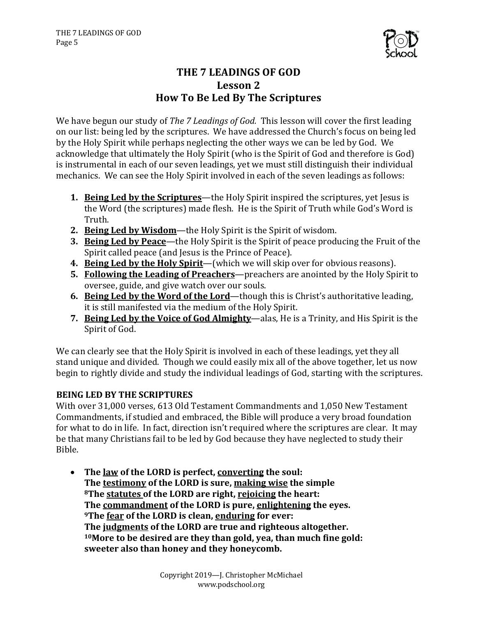

# **THE 7 LEADINGS OF GOD** Lesson 2 **How To Be Led By The Scriptures**

We have begun our study of *The 7 Leadings of God.* This lesson will cover the first leading on our list: being led by the scriptures. We have addressed the Church's focus on being led by the Holy Spirit while perhaps neglecting the other ways we can be led by God. We acknowledge that ultimately the Holy Spirit (who is the Spirit of God and therefore is God) is instrumental in each of our seven leadings, yet we must still distinguish their individual mechanics. We can see the Holy Spirit involved in each of the seven leadings as follows:

- **1. Being Led by the Scriptures—the Holy Spirit inspired the scriptures, yet lesus is** the Word (the scriptures) made flesh. He is the Spirit of Truth while God's Word is Truth.
- 2. **Being Led by Wisdom**—the Holy Spirit is the Spirit of wisdom.
- **3.** Being Led by Peace—the Holy Spirit is the Spirit of peace producing the Fruit of the Spirit called peace (and Jesus is the Prince of Peace).
- **4.** Being Led by the Holy Spirit—(which we will skip over for obvious reasons).
- **5.** Following the Leading of Preachers—preachers are anointed by the Holy Spirit to oversee, guide, and give watch over our souls.
- **6. Being Led by the Word of the Lord**—though this is Christ's authoritative leading, it is still manifested via the medium of the Holy Spirit.
- **7. Being Led by the Voice of God Almighty**—alas, He is a Trinity, and His Spirit is the Spirit of God.

We can clearly see that the Holy Spirit is involved in each of these leadings, yet they all stand unique and divided. Though we could easily mix all of the above together, let us now begin to rightly divide and study the individual leadings of God, starting with the scriptures.

# **BEING LED BY THE SCRIPTURES**

With over 31,000 verses, 613 Old Testament Commandments and 1,050 New Testament Commandments, if studied and embraced, the Bible will produce a very broad foundation for what to do in life. In fact, direction isn't required where the scriptures are clear. It may be that many Christians fail to be led by God because they have neglected to study their Bible. 

• The law of the LORD is perfect, converting the soul: **The testimony of the LORD is sure, making wise the simple 8The statutes of the LORD are right, rejoicing the heart: The commandment of the LORD is pure, enlightening the eyes. 9The fear of the LORD is clean, enduring for ever:** The judgments of the LORD are true and righteous altogether. <sup>10</sup> More to be desired are they than gold, yea, than much fine gold: sweeter also than honey and they honeycomb.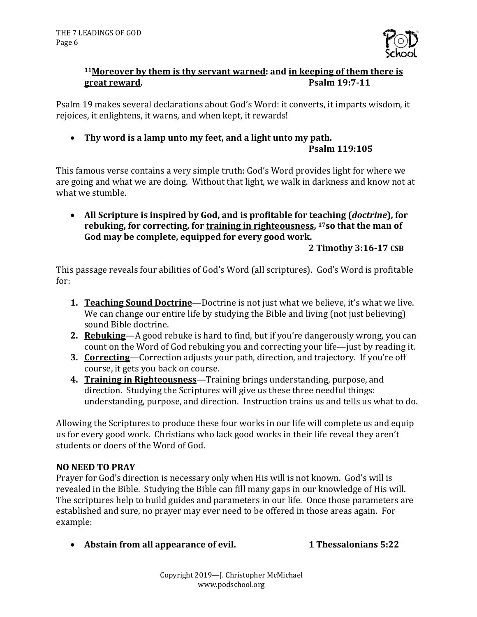

# <sup>11</sup>Moreover by them is thy servant warned: and in keeping of them there is **great reward. Psalm 19:7-11**

Psalm 19 makes several declarations about God's Word: it converts, it imparts wisdom, it rejoices, it enlightens, it warns, and when kept, it rewards!

• Thy word is a lamp unto my feet, and a light unto my path. **Psalm 119:105**

This famous verse contains a very simple truth: God's Word provides light for where we are going and what we are doing. Without that light, we walk in darkness and know not at what we stumble.

• All Scripture is inspired by God, and is profitable for teaching (*doctrine*), for rebuking, for correcting, for training in righteousness, <sup>17</sup>so that the man of God may be complete, equipped for every good work.

**2 Timothy 3:16-17 CSB**

This passage reveals four abilities of God's Word (all scriptures). God's Word is profitable for:

- **1. Teaching Sound Doctrine**—Doctrine is not just what we believe, it's what we live. We can change our entire life by studying the Bible and living (not just believing) sound Bible doctrine.
- **2. Rebuking**—A good rebuke is hard to find, but if you're dangerously wrong, you can count on the Word of God rebuking you and correcting your life—just by reading it.
- **3. Correcting—Correction adjusts your path, direction, and trajectory.** If you're off course, it gets you back on course.
- **4. Training in Righteousness**—Training brings understanding, purpose, and direction. Studying the Scriptures will give us these three needful things: understanding, purpose, and direction. Instruction trains us and tells us what to do.

Allowing the Scriptures to produce these four works in our life will complete us and equip us for every good work. Christians who lack good works in their life reveal they aren't students or doers of the Word of God.

# **NO NEED TO PRAY**

Prayer for God's direction is necessary only when His will is not known. God's will is revealed in the Bible. Studying the Bible can fill many gaps in our knowledge of His will. The scriptures help to build guides and parameters in our life. Once those parameters are established and sure, no prayer may ever need to be offered in those areas again. For example:

• Abstain from all appearance of evil. 1 Thessalonians 5:22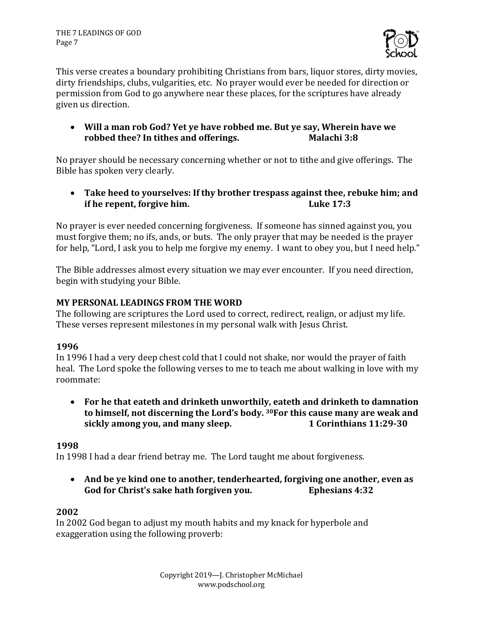

This verse creates a boundary prohibiting Christians from bars, liquor stores, dirty movies, dirty friendships, clubs, vulgarities, etc. No prayer would ever be needed for direction or permission from God to go anywhere near these places, for the scriptures have already given us direction.

• Will a man rob God? Yet ye have robbed me. But ye say, Wherein have we **robbed thee?** In tithes and offerings. The Malachi 3:8

No prayer should be necessary concerning whether or not to tithe and give offerings. The Bible has spoken very clearly.

• Take heed to yourselves: If thy brother trespass against thee, rebuke him; and **if he repent, forgive him.** Luke 17:3

No prayer is ever needed concerning forgiveness. If someone has sinned against you, you must forgive them; no ifs, ands, or buts. The only prayer that may be needed is the prayer for help, "Lord, I ask you to help me forgive my enemy. I want to obey you, but I need help."

The Bible addresses almost every situation we may ever encounter. If you need direction, begin with studying your Bible.

# **MY PERSONAL LEADINGS FROM THE WORD**

The following are scriptures the Lord used to correct, redirect, realign, or adjust my life. These verses represent milestones in my personal walk with Jesus Christ.

## **1996**

In 1996 I had a very deep chest cold that I could not shake, nor would the prayer of faith heal. The Lord spoke the following verses to me to teach me about walking in love with my roommate:

• For he that eateth and drinketh unworthily, eateth and drinketh to damnation to himself, not discerning the Lord's body. <sup>30</sup>For this cause many are weak and **sickly among you, and many sleep. 1 Corinthians 11:29-30** 

## **1998**

In 1998 I had a dear friend betray me. The Lord taught me about forgiveness.

• And be ye kind one to another, tenderhearted, forgiving one another, even as God for Christ's sake hath forgiven you. **Ephesians 4:32** 

## **2002**

In 2002 God began to adjust my mouth habits and my knack for hyperbole and exaggeration using the following proverb: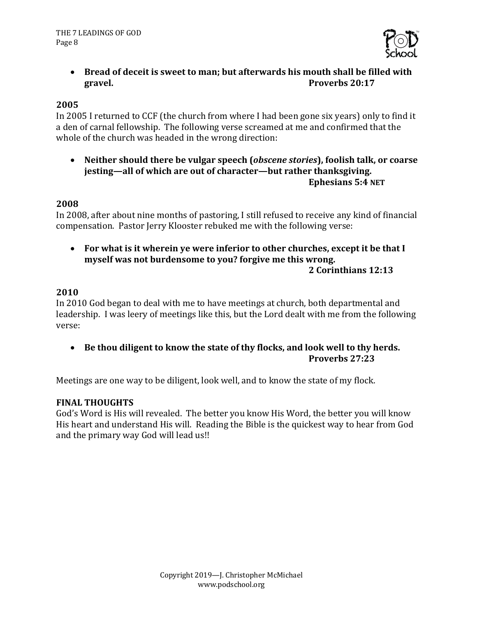

• Bread of deceit is sweet to man; but afterwards his mouth shall be filled with **gravel. Proverbs** 20:17

### **2005**

In 2005 I returned to CCF (the church from where I had been gone six years) only to find it a den of carnal fellowship. The following verse screamed at me and confirmed that the whole of the church was headed in the wrong direction:

• Neither should there be vulgar speech (*obscene stories*), foolish talk, or coarse **jesting—all of which are out of character—but rather thanksgiving. Ephesians 5:4 NET**

#### **2008**

In 2008, after about nine months of pastoring, I still refused to receive any kind of financial compensation. Pastor Jerry Klooster rebuked me with the following verse:

• For what is it wherein ye were inferior to other churches, except it be that I myself was not burdensome to you? forgive me this wrong.

#### **2 Corinthians 12:13**

#### **2010**

In 2010 God began to deal with me to have meetings at church, both departmental and leadership. I was leery of meetings like this, but the Lord dealt with me from the following verse:

• Be thou diligent to know the state of thy flocks, and look well to thy herds. **Proverbs 27:23**

Meetings are one way to be diligent, look well, and to know the state of my flock.

#### **FINAL THOUGHTS**

God's Word is His will revealed. The better you know His Word, the better you will know His heart and understand His will. Reading the Bible is the quickest way to hear from God and the primary way God will lead us!!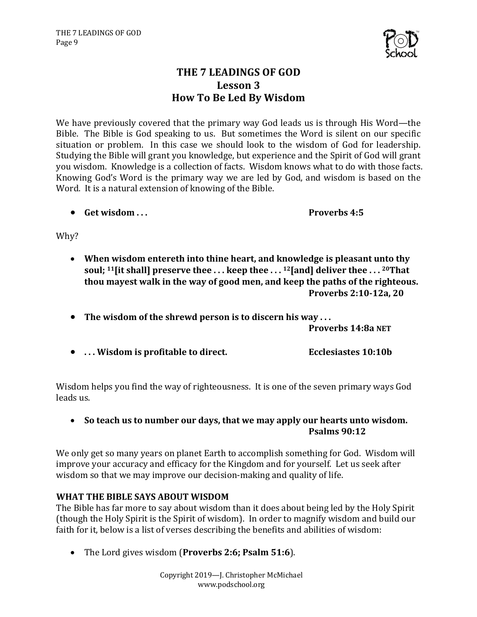

# **THE 7 LEADINGS OF GOD Lesson 3 How To Be Led By Wisdom**

We have previously covered that the primary way God leads us is through His Word—the Bible. The Bible is God speaking to us. But sometimes the Word is silent on our specific situation or problem. In this case we should look to the wisdom of God for leadership. Studying the Bible will grant you knowledge, but experience and the Spirit of God will grant you wisdom. Knowledge is a collection of facts. Wisdom knows what to do with those facts. Knowing God's Word is the primary way we are led by God, and wisdom is based on the Word. It is a natural extension of knowing of the Bible.

• **Get wisdom** ... **Comparison in the set of the set of the Proverbs 4:5** 

Why?

- When wisdom entereth into thine heart, and knowledge is pleasant unto thy **soul**; <sup>11</sup>[it shall] preserve thee ... keep thee ... <sup>12</sup>[and] deliver thee ... <sup>20</sup>That thou mayest walk in the way of good men, and keep the paths of the righteous. **Proverbs 2:10-12a, 20**
- The wisdom of the shrewd person is to discern his way ...

**Proverbs 14:8a NET**

• ... Wisdom is profitable to direct. **Example 20.10b** Ecclesiastes 10:10b

Wisdom helps you find the way of righteousness. It is one of the seven primary ways God leads us.

• So teach us to number our days, that we may apply our hearts unto wisdom. **Psalms 90:12**

We only get so many years on planet Earth to accomplish something for God. Wisdom will improve your accuracy and efficacy for the Kingdom and for yourself. Let us seek after wisdom so that we may improve our decision-making and quality of life.

## **WHAT THE BIBLE SAYS ABOUT WISDOM**

The Bible has far more to say about wisdom than it does about being led by the Holy Spirit (though the Holy Spirit is the Spirit of wisdom). In order to magnify wisdom and build our faith for it, below is a list of verses describing the benefits and abilities of wisdom:

• The Lord gives wisdom (Proverbs 2:6; Psalm 51:6).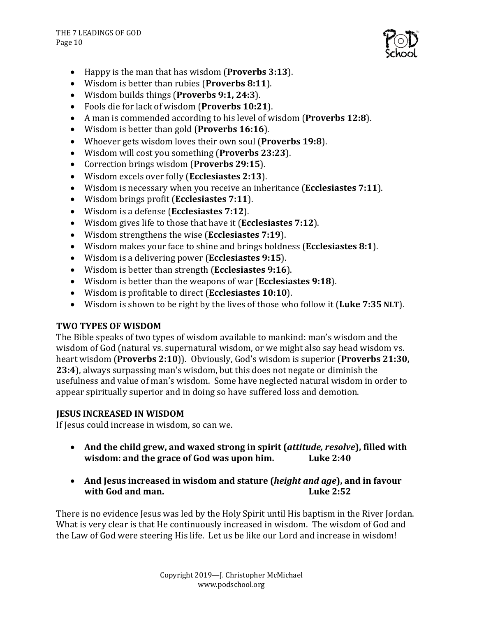

- Happy is the man that has wisdom (**Proverbs** 3:13).
- Wisdom is better than rubies (**Proverbs 8:11**).
- Wisdom builds things (**Proverbs 9:1, 24:3**).
- Fools die for lack of wisdom (Proverbs 10:21).
- A man is commended according to his level of wisdom (Proverbs 12:8).
- Wisdom is better than gold (**Proverbs 16:16**).
- Whoever gets wisdom loves their own soul (Proverbs 19:8).
- Wisdom will cost you something (**Proverbs 23:23**).
- Correction brings wisdom (**Proverbs** 29:15).
- Wisdom excels over folly (**Ecclesiastes 2:13**).
- Wisdom is necessary when you receive an inheritance (**Ecclesiastes** 7:11).
- Wisdom brings profit (**Ecclesiastes 7:11**).
- Wisdom is a defense (**Ecclesiastes 7:12**).
- Wisdom gives life to those that have it (**Ecclesiastes** 7:12).
- Wisdom strengthens the wise (**Ecclesiastes 7:19**).
- Wisdom makes your face to shine and brings boldness (**Ecclesiastes 8:1**).
- Wisdom is a delivering power (**Ecclesiastes 9:15**).
- Wisdom is better than strength (**Ecclesiastes 9:16**).
- Wisdom is better than the weapons of war (**Ecclesiastes** 9:18).
- Wisdom is profitable to direct (**Ecclesiastes 10:10**).
- Wisdom is shown to be right by the lives of those who follow it (Luke 7:35 NLT).

## **TWO TYPES OF WISDOM**

The Bible speaks of two types of wisdom available to mankind: man's wisdom and the wisdom of God (natural vs. supernatural wisdom, or we might also say head wisdom vs. heart wisdom (**Proverbs** 2:10)). Obviously, God's wisdom is superior (**Proverbs** 21:30, **23:4**), always surpassing man's wisdom, but this does not negate or diminish the usefulness and value of man's wisdom. Some have neglected natural wisdom in order to appear spiritually superior and in doing so have suffered loss and demotion.

## **JESUS INCREASED IN WISDOM**

If Jesus could increase in wisdom, so can we.

- And the child grew, and waxed strong in spirit (*attitude, resolve*), filled with **wisdom:** and the grace of God was upon him. Luke 2:40
- And Jesus increased in wisdom and stature (*height and age*), and in favour **with God and man. Luke 2:52**

There is no evidence Jesus was led by the Holy Spirit until His baptism in the River Jordan. What is very clear is that He continuously increased in wisdom. The wisdom of God and the Law of God were steering His life. Let us be like our Lord and increase in wisdom!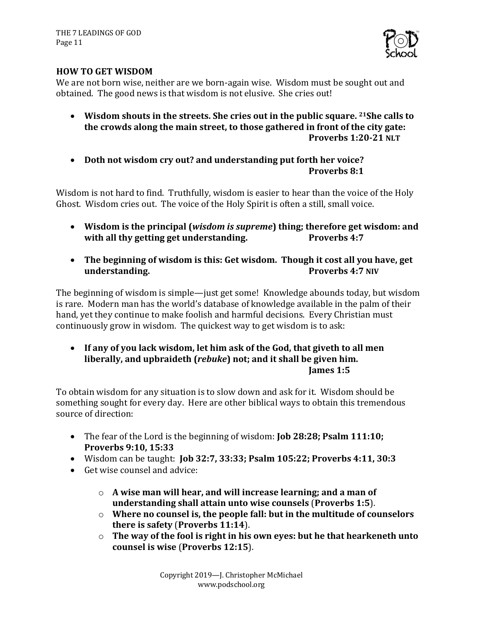

## **HOW TO GET WISDOM**

We are not born wise, neither are we born-again wise. Wisdom must be sought out and obtained. The good news is that wisdom is not elusive. She cries out!

- Wisdom shouts in the streets. She cries out in the public square. <sup>21</sup>She calls to the crowds along the main street, to those gathered in front of the city gate: Proverbs 1:20-21 NLT
- Doth not wisdom cry out? and understanding put forth her voice? **Proverbs 8:1**

Wisdom is not hard to find. Truthfully, wisdom is easier to hear than the voice of the Holy Ghost. Wisdom cries out. The voice of the Holy Spirit is often a still, small voice.

- Wisdom is the principal (*wisdom is supreme*) thing; therefore get wisdom: and **with all thy getting get understanding.** Proverbs 4:7
- The beginning of wisdom is this: Get wisdom. Though it cost all you have, get **understanding. Proverbs 4:7 NIV**

The beginning of wisdom is simple—just get some! Knowledge abounds today, but wisdom is rare. Modern man has the world's database of knowledge available in the palm of their hand, yet they continue to make foolish and harmful decisions. Every Christian must continuously grow in wisdom. The quickest way to get wisdom is to ask:

• If any of you lack wisdom, let him ask of the God, that giveth to all men liberally, and upbraideth (*rebuke*) not; and it shall be given him. **James 1:5**

To obtain wisdom for any situation is to slow down and ask for it. Wisdom should be something sought for every day. Here are other biblical ways to obtain this tremendous source of direction:

- The fear of the Lord is the beginning of wisdom: **Job 28:28; Psalm 111:10; Proverbs 9:10, 15:33**
- Wisdom can be taught: **Job 32:7, 33:33; Psalm 105:22; Proverbs 4:11, 30:3**
- Get wise counsel and advice:
	- $\circ$  A wise man will hear, and will increase learning; and a man of **understanding shall attain unto wise counsels (Proverbs 1:5).**
	- $\circ$  Where no counsel is, the people fall: but in the multitude of counselors **there is safety (Proverbs 11:14).**
	- $\circ$  The way of the fool is right in his own eyes: but he that hearkeneth unto **counsel is wise** (**Proverbs 12:15**).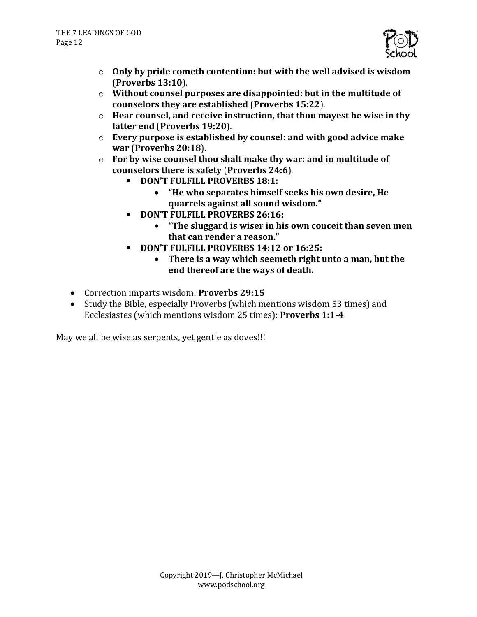

- $\circ$  Only by pride cometh contention: but with the well advised is wisdom (**Proverbs 13:10**).
- $\circ$  Without counsel purposes are disappointed: but in the multitude of **counselors they are established** (**Proverbs 15:22**).
- o Hear counsel, and receive instruction, that thou mayest be wise in thy **latter end (Proverbs 19:20).**
- $\circ$  **Every purpose is established by counsel: and with good advice make war** (**Proverbs 20:18**).
- $\circ$  **For by wise counsel thou shalt make thy war: and in multitude of** counselors there is safety (Proverbs 24:6).
	- **DON'T FULFILL PROVERBS 18:1:** 
		- "He who separates himself seeks his own desire, He **quarrels against all sound wisdom."**
	- **DON'T FULFILL PROVERBS 26:16:** 
		- "The sluggard is wiser in his own conceit than seven men that can render a reason."
	- **DON'T FULFILL PROVERBS 14:12 or 16:25:** 
		- There is a way which seemeth right unto a man, but the end thereof are the ways of death.
- Correction imparts wisdom: **Proverbs 29:15**
- Study the Bible, especially Proverbs (which mentions wisdom 53 times) and Ecclesiastes (which mentions wisdom 25 times): **Proverbs 1:1-4**

May we all be wise as serpents, yet gentle as doves!!!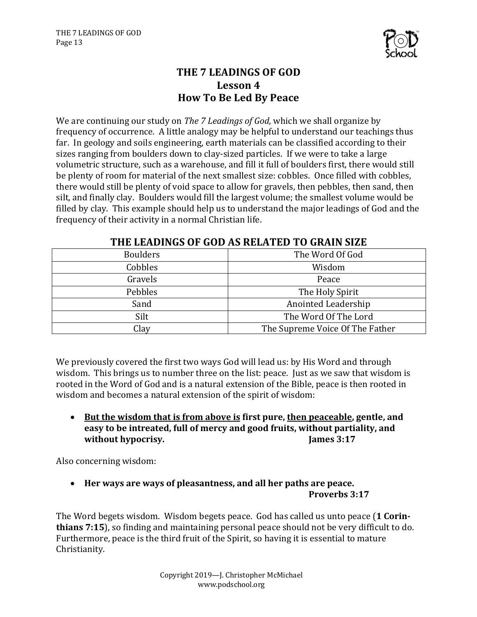

# **THE 7 LEADINGS OF GOD** Lesson 4 **How To Be Led By Peace**

We are continuing our study on *The 7 Leadings of God,* which we shall organize by frequency of occurrence. A little analogy may be helpful to understand our teachings thus far. In geology and soils engineering, earth materials can be classified according to their sizes ranging from boulders down to clay-sized particles. If we were to take a large volumetric structure, such as a warehouse, and fill it full of boulders first, there would still be plenty of room for material of the next smallest size: cobbles. Once filled with cobbles, there would still be plenty of void space to allow for gravels, then pebbles, then sand, then silt, and finally clay. Boulders would fill the largest volume; the smallest volume would be filled by clay. This example should help us to understand the major leadings of God and the frequency of their activity in a normal Christian life.

| <b>Boulders</b> | The Word Of God                 |
|-----------------|---------------------------------|
| Cobbles         | Wisdom                          |
| Gravels         | Peace                           |
| Pebbles         | The Holy Spirit                 |
| Sand            | Anointed Leadership             |
| Silt            | The Word Of The Lord            |
| Clay            | The Supreme Voice Of The Father |

# **THE LEADINGS OF GOD AS RELATED TO GRAIN SIZE**

We previously covered the first two ways God will lead us: by His Word and through wisdom. This brings us to number three on the list: peace. Just as we saw that wisdom is rooted in the Word of God and is a natural extension of the Bible, peace is then rooted in wisdom and becomes a natural extension of the spirit of wisdom:

• But the wisdom that is from above is first pure, then peaceable, gentle, and easy to be intreated, full of mercy and good fruits, without partiality, and **without hypocrisy. James 3:17** 

Also concerning wisdom:

• Her ways are ways of pleasantness, and all her paths are peace. **Proverbs 3:17**

The Word begets wisdom. Wisdom begets peace. God has called us unto peace (1 Corin**thians 7:15**), so finding and maintaining personal peace should not be very difficult to do. Furthermore, peace is the third fruit of the Spirit, so having it is essential to mature Christianity.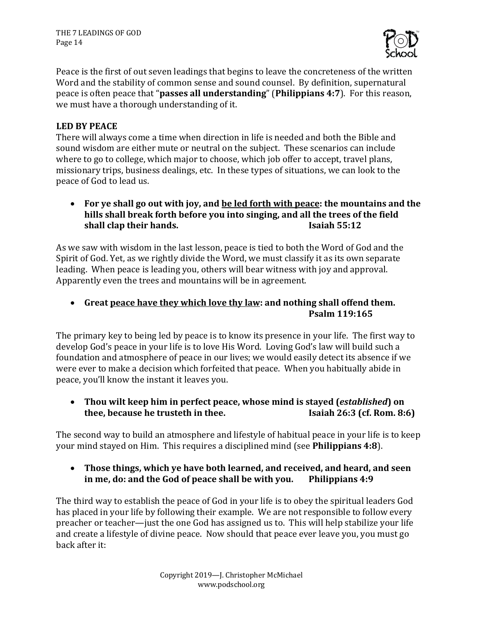THE 7 LEADINGS OF GOD Page 14



Peace is the first of out seven leadings that begins to leave the concreteness of the written Word and the stability of common sense and sound counsel. By definition, supernatural peace is often peace that "**passes all understanding**" (**Philippians 4:7**). For this reason, we must have a thorough understanding of it.

## **LED BY PEACE**

There will always come a time when direction in life is needed and both the Bible and sound wisdom are either mute or neutral on the subject. These scenarios can include where to go to college, which major to choose, which job offer to accept, travel plans, missionary trips, business dealings, etc. In these types of situations, we can look to the peace of God to lead us.

• For ye shall go out with joy, and <u>be led forth with peace</u>: the mountains and the hills shall break forth before you into singing, and all the trees of the field **shall clap their hands. Isaiah 55:12** 

As we saw with wisdom in the last lesson, peace is tied to both the Word of God and the Spirit of God. Yet, as we rightly divide the Word, we must classify it as its own separate leading. When peace is leading you, others will bear witness with joy and approval. Apparently even the trees and mountains will be in agreement.

• Great peace have they which love thy law: and nothing shall offend them. **Psalm 119:165**

The primary key to being led by peace is to know its presence in your life. The first way to develop God's peace in your life is to love His Word. Loving God's law will build such a foundation and atmosphere of peace in our lives; we would easily detect its absence if we were ever to make a decision which forfeited that peace. When you habitually abide in peace, you'll know the instant it leaves you.

• Thou wilt keep him in perfect peace, whose mind is stayed (*established*) on **thee, because he trusteth in thee. Isaiah 26:3** (cf. Rom. 8:6)

The second way to build an atmosphere and lifestyle of habitual peace in your life is to keep your mind stayed on Him. This requires a disciplined mind (see **Philippians 4:8**).

# • Those things, which ye have both learned, and received, and heard, and seen **in me, do: and the God of peace shall be with you.** Philippians 4:9

The third way to establish the peace of God in your life is to obey the spiritual leaders God has placed in your life by following their example. We are not responsible to follow every preacher or teacher—just the one God has assigned us to. This will help stabilize your life and create a lifestyle of divine peace. Now should that peace ever leave you, you must go back after it: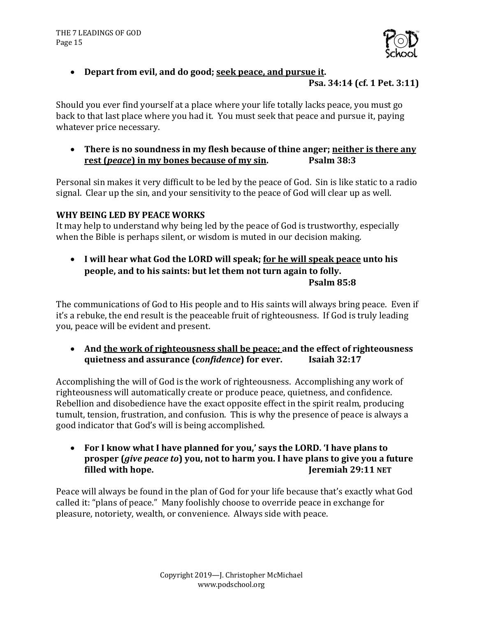

## • Depart from evil, and do good; seek peace, and pursue it.

#### **Psa. 34:14 (cf. 1 Pet. 3:11)**

Should you ever find yourself at a place where your life totally lacks peace, you must go back to that last place where you had it. You must seek that peace and pursue it, paying whatever price necessary.

• There is no soundness in my flesh because of thine anger; neither is there any **rest (***peace***) in my bones because of my sin. Psalm 38:3** 

Personal sin makes it very difficult to be led by the peace of God. Sin is like static to a radio signal. Clear up the sin, and your sensitivity to the peace of God will clear up as well.

#### WHY BEING LED BY PEACE WORKS

It may help to understand why being led by the peace of God is trustworthy, especially when the Bible is perhaps silent, or wisdom is muted in our decision making.

• I will hear what God the LORD will speak; <u>for he will speak peace</u> unto his **people, and to his saints: but let them not turn again to folly. Psalm 85:8**

The communications of God to His people and to His saints will always bring peace. Even if it's a rebuke, the end result is the peaceable fruit of righteousness. If God is truly leading you, peace will be evident and present.

• And the work of righteousness shall be peace; and the effect of righteousness **quietness and assurance (***confidence***) for ever. Isaiah 32:17**

Accomplishing the will of God is the work of righteousness. Accomplishing any work of righteousness will automatically create or produce peace, quietness, and confidence. Rebellion and disobedience have the exact opposite effect in the spirit realm, producing tumult, tension, frustration, and confusion. This is why the presence of peace is always a good indicator that God's will is being accomplished.

• For I know what I have planned for you,' says the LORD. 'I have plans to **prosper** (*give peace to*) you, not to harm you. I have plans to give you a future **filled** with hope. *Jeremiah* 29:11 NET

Peace will always be found in the plan of God for your life because that's exactly what God called it: "plans of peace." Many foolishly choose to override peace in exchange for pleasure, notoriety, wealth, or convenience. Always side with peace.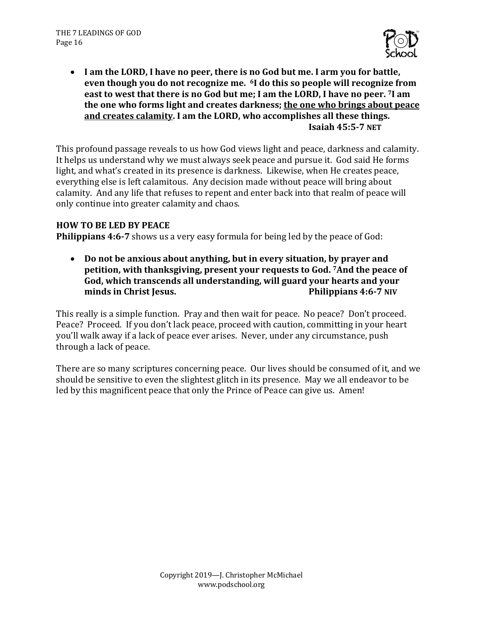

• I am the LORD, I have no peer, there is no God but me. I arm you for battle, even though you do not recognize me. <sup>6</sup>I do this so people will recognize from east to west that there is no God but me; I am the LORD, I have no peer. <sup>7</sup>I am the one who forms light and creates darkness; the one who brings about peace and creates calamity. I am the LORD, who accomplishes all these things. **Isaiah 45:5-7 NET**

This profound passage reveals to us how God views light and peace, darkness and calamity. It helps us understand why we must always seek peace and pursue it. God said He forms light, and what's created in its presence is darkness. Likewise, when He creates peace, everything else is left calamitous. Any decision made without peace will bring about calamity. And any life that refuses to repent and enter back into that realm of peace will only continue into greater calamity and chaos.

## **HOW TO BE LED BY PEACE**

**Philippians 4:6-7** shows us a very easy formula for being led by the peace of God:

• Do not be anxious about anything, but in every situation, by prayer and **petition, with thanksgiving, present your requests to God. 7And the peace of** God, which transcends all understanding, will guard your hearts and your **minds in Christ Jesus. Compared Allen Structure 2.1 (1) Philippians 4:6-7 NIV** 

This really is a simple function. Pray and then wait for peace. No peace? Don't proceed. Peace? Proceed. If you don't lack peace, proceed with caution, committing in your heart you'll walk away if a lack of peace ever arises. Never, under any circumstance, push through a lack of peace.

There are so many scriptures concerning peace. Our lives should be consumed of it, and we should be sensitive to even the slightest glitch in its presence. May we all endeavor to be led by this magnificent peace that only the Prince of Peace can give us. Amen!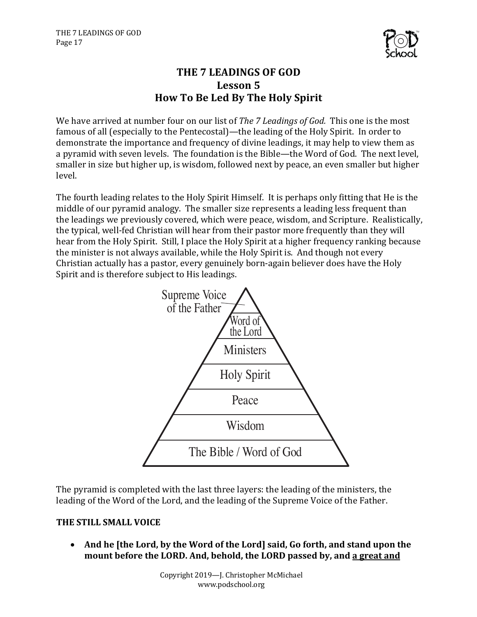

# **THE 7 LEADINGS OF GOD** Lesson 5 **How To Be Led By The Holy Spirit**

We have arrived at number four on our list of *The 7 Leadings of God.* This one is the most famous of all (especially to the Pentecostal)—the leading of the Holy Spirit. In order to demonstrate the importance and frequency of divine leadings, it may help to view them as a pyramid with seven levels. The foundation is the Bible—the Word of God. The next level, smaller in size but higher up, is wisdom, followed next by peace, an even smaller but higher level.

The fourth leading relates to the Holy Spirit Himself. It is perhaps only fitting that He is the middle of our pyramid analogy. The smaller size represents a leading less frequent than the leadings we previously covered, which were peace, wisdom, and Scripture. Realistically, the typical, well-fed Christian will hear from their pastor more frequently than they will hear from the Holy Spirit. Still, I place the Holy Spirit at a higher frequency ranking because the minister is not always available, while the Holy Spirit is. And though not every Christian actually has a pastor, every genuinely born-again believer does have the Holy Spirit and is therefore subject to His leadings.



The pyramid is completed with the last three layers: the leading of the ministers, the leading of the Word of the Lord, and the leading of the Supreme Voice of the Father.

# **THE STILL SMALL VOICE**

• And he [the Lord, by the Word of the Lord] said, Go forth, and stand upon the mount before the LORD. And, behold, the LORD passed by, and a great and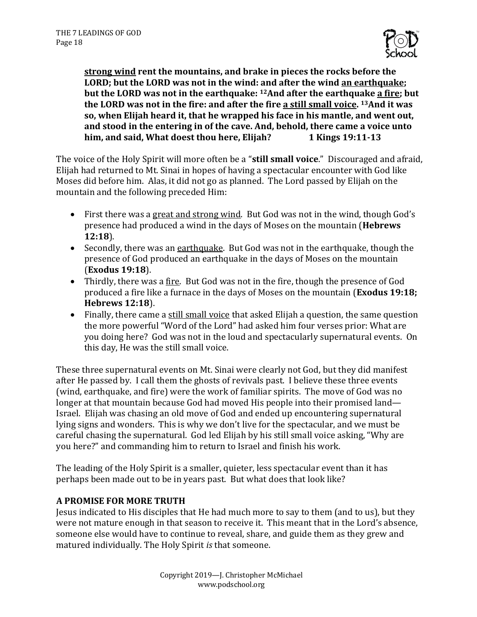

**<u>strong wind</u> rent the mountains, and brake in pieces the rocks before the LORD;** but the LORD was not in the wind: and after the wind an earthquake; **but the LORD was not in the earthquake:** <sup>12</sup>And after the earthquake a fire; but the LORD was not in the fire: and after the fire a still small voice. <sup>13</sup>And it was so, when Elijah heard it, that he wrapped his face in his mantle, and went out, and stood in the entering in of the cave. And, behold, there came a voice unto **him, and said, What doest thou here, Elijah?** 1 Kings 19:11-13

The voice of the Holy Spirit will more often be a "**still small voice**." Discouraged and afraid, Elijah had returned to Mt. Sinai in hopes of having a spectacular encounter with God like Moses did before him. Alas, it did not go as planned. The Lord passed by Elijah on the mountain and the following preceded Him:

- First there was a great and strong wind. But God was not in the wind, though God's presence had produced a wind in the days of Moses on the mountain (**Hebrews**) **12:18**).
- Secondly, there was an earthquake. But God was not in the earthquake, though the presence of God produced an earthquake in the days of Moses on the mountain (**Exodus 19:18**).
- Thirdly, there was a fire. But God was not in the fire, though the presence of God produced a fire like a furnace in the days of Moses on the mountain (**Exodus 19:18; Hebrews 12:18**).
- Finally, there came a still small voice that asked Elijah a question, the same question the more powerful "Word of the Lord" had asked him four verses prior: What are you doing here? God was not in the loud and spectacularly supernatural events. On this day, He was the still small voice.

These three supernatural events on Mt. Sinai were clearly not God, but they did manifest after He passed by. I call them the ghosts of revivals past. I believe these three events (wind, earthquake, and fire) were the work of familiar spirits. The move of God was no longer at that mountain because God had moved His people into their promised land— Israel. Elijah was chasing an old move of God and ended up encountering supernatural lying signs and wonders. This is why we don't live for the spectacular, and we must be careful chasing the supernatural. God led Elijah by his still small voice asking, "Why are you here?" and commanding him to return to Israel and finish his work.

The leading of the Holy Spirit is a smaller, quieter, less spectacular event than it has perhaps been made out to be in years past. But what does that look like?

# **A PROMISE FOR MORE TRUTH**

Jesus indicated to His disciples that He had much more to say to them (and to us), but they were not mature enough in that season to receive it. This meant that in the Lord's absence, someone else would have to continue to reveal, share, and guide them as they grew and matured individually. The Holy Spirit *is* that someone.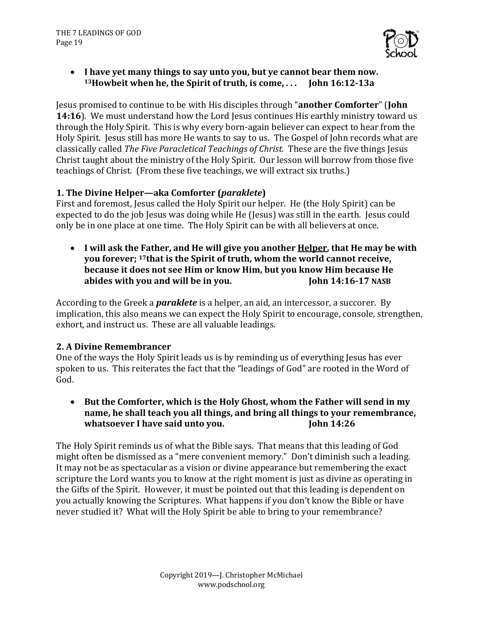

• I have yet many things to say unto you, but ye cannot bear them now. <sup>13</sup> Howbeit when he, the Spirit of truth, is come, ... **John 16:12-13a** 

**Jesus promised to continue to be with His disciples through "another Comforter" (John 14:16**). We must understand how the Lord Jesus continues His earthly ministry toward us through the Holy Spirit. This is why every born-again believer can expect to hear from the Holy Spirit. Jesus still has more He wants to say to us. The Gospel of John records what are classically called *The Five Paracletical Teachings of Christ.* These are the five things Jesus Christ taught about the ministry of the Holy Spirit. Our lesson will borrow from those five teachings of Christ. (From these five teachings, we will extract six truths.)

# **1.** The Divine Helper—aka Comforter (*paraklete*)

First and foremost, Jesus called the Holy Spirit our helper. He (the Holy Spirit) can be expected to do the job Jesus was doing while He (Jesus) was still in the earth. Jesus could only be in one place at one time. The Holy Spirit can be with all believers at once.

• I will ask the Father, and He will give you another <u>Helper</u>, that He may be with **you forever; <sup>17</sup>that is the Spirit of truth, whom the world cannot receive, because it does not see Him or know Him, but you know Him because He abides with you and will be in you.** John 14:16-17 NASB

According to the Greek a *paraklete* is a helper, an aid, an intercessor, a succorer. By implication, this also means we can expect the Holy Spirit to encourage, console, strengthen, exhort, and instruct us. These are all valuable leadings.

## **2. A Divine Remembrancer**

One of the ways the Holy Spirit leads us is by reminding us of everything Jesus has ever spoken to us. This reiterates the fact that the "leadings of God" are rooted in the Word of God. 

• But the Comforter, which is the Holy Ghost, whom the Father will send in my name, he shall teach you all things, and bring all things to your remembrance, **whatsoever I have said unto you.** John 14:26

The Holy Spirit reminds us of what the Bible says. That means that this leading of God might often be dismissed as a "mere convenient memory." Don't diminish such a leading. It may not be as spectacular as a vision or divine appearance but remembering the exact scripture the Lord wants you to know at the right moment is just as divine as operating in the Gifts of the Spirit. However, it must be pointed out that this leading is dependent on you actually knowing the Scriptures. What happens if you don't know the Bible or have never studied it? What will the Holy Spirit be able to bring to your remembrance?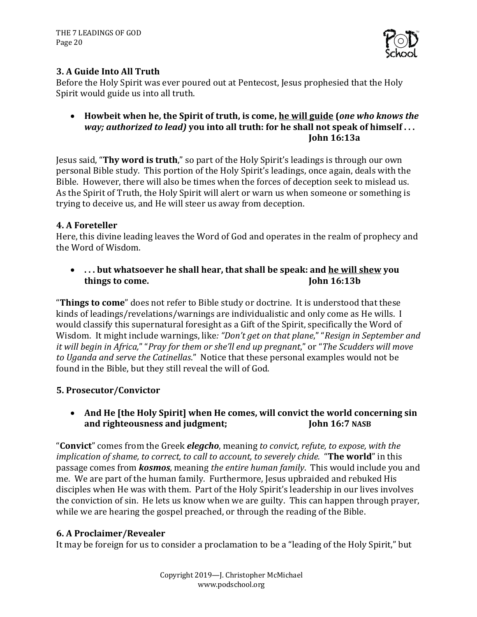

# **3. A Guide Into All Truth**

Before the Holy Spirit was ever poured out at Pentecost, Jesus prophesied that the Holy Spirit would guide us into all truth.

• Howbeit when he, the Spirit of truth, is come, <u>he will guide</u> (*one who knows the way; authorized to lead*) you into all truth: for he shall not speak of himself... **John 16:13a**

Jesus said, "Thy word is truth," so part of the Holy Spirit's leadings is through our own personal Bible study. This portion of the Holy Spirit's leadings, once again, deals with the Bible. However, there will also be times when the forces of deception seek to mislead us. As the Spirit of Truth, the Holy Spirit will alert or warn us when someone or something is trying to deceive us, and He will steer us away from deception.

# **4. A Foreteller**

Here, this divine leading leaves the Word of God and operates in the realm of prophecy and the Word of Wisdom.

• ... but whatsoever he shall hear, that shall be speak: and <u>he will shew</u> you **things to come. John 16:13b** 

**Things to come**" does not refer to Bible study or doctrine. It is understood that these kinds of leadings/revelations/warnings are individualistic and only come as He wills. I would classify this supernatural foresight as a Gift of the Spirit, specifically the Word of Wisdom. It might include warnings, like: "Don't get on that plane," "Resign in September and *it* will begin in Africa," "Pray for them or she'll end up pregnant," or "The Scudders will move *to Uganda and serve the Catinellas.*" Notice that these personal examples would not be found in the Bible, but they still reveal the will of God.

# **5. Prosecutor/Convictor**

• And He [the Holy Spirit] when He comes, will convict the world concerning sin and righteousness and judgment; **Inclusively** John 16:7 NASB

"**Convict**" comes from the Greek *elegcho*, meaning to convict, refute, to expose, with the *implication of shame, to correct, to call to account, to severely chide.* "The world" in this passage comes from *kosmos*, meaning the entire human family. This would include you and me. We are part of the human family. Furthermore, Jesus upbraided and rebuked His disciples when He was with them. Part of the Holy Spirit's leadership in our lives involves the conviction of sin. He lets us know when we are guilty. This can happen through prayer, while we are hearing the gospel preached, or through the reading of the Bible.

## **6. A Proclaimer/Revealer**

It may be foreign for us to consider a proclamation to be a "leading of the Holy Spirit," but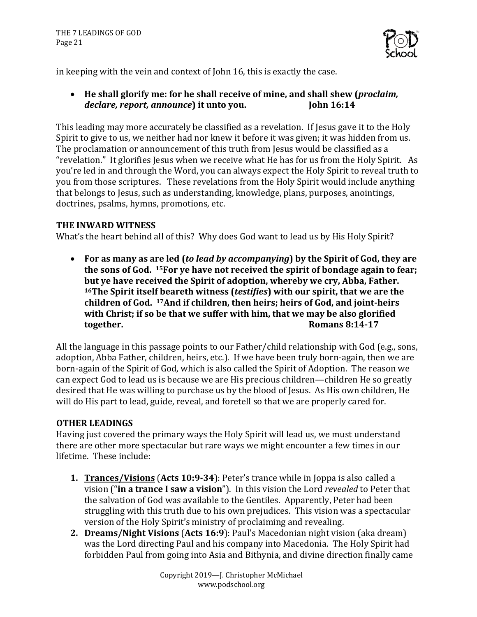

in keeping with the vein and context of John 16, this is exactly the case.

• He shall glorify me: for he shall receive of mine, and shall shew (*proclaim*, declare, report, announce) it unto you. **John 16:14** 

This leading may more accurately be classified as a revelation. If Jesus gave it to the Holy Spirit to give to us, we neither had nor knew it before it was given; it was hidden from us. The proclamation or announcement of this truth from Jesus would be classified as a "revelation." It glorifies Jesus when we receive what He has for us from the Holy Spirit. As you're led in and through the Word, you can always expect the Holy Spirit to reveal truth to you from those scriptures. These revelations from the Holy Spirit would include anything that belongs to Jesus, such as understanding, knowledge, plans, purposes, anointings, doctrines, psalms, hymns, promotions, etc.

## **THE INWARD WITNESS**

What's the heart behind all of this? Why does God want to lead us by His Holy Spirit?

• For as many as are led (*to lead by accompanying*) by the Spirit of God, they are the sons of God. <sup>15</sup>For ye have not received the spirit of bondage again to fear; but ye have received the Spirit of adoption, whereby we cry, Abba, Father. <sup>16</sup>The Spirit itself beareth witness (*testifies*) with our spirit, that we are the children of God. <sup>17</sup>And if children, then heirs; heirs of God, and joint-heirs with Christ; if so be that we suffer with him, that we may be also glorified **together. Romans 8:14-17** 

All the language in this passage points to our Father/child relationship with God (e.g., sons, adoption, Abba Father, children, heirs, etc.). If we have been truly born-again, then we are born-again of the Spirit of God, which is also called the Spirit of Adoption. The reason we can expect God to lead us is because we are His precious children—children He so greatly desired that He was willing to purchase us by the blood of Jesus. As His own children, He will do His part to lead, guide, reveal, and foretell so that we are properly cared for.

# **OTHER LEADINGS**

Having just covered the primary ways the Holy Spirit will lead us, we must understand there are other more spectacular but rare ways we might encounter a few times in our lifetime. These include:

- **1. Trances/Visions** (Acts 10:9-34): Peter's trance while in Joppa is also called a vision ("in a trance I saw a vision"). In this vision the Lord *revealed* to Peter that the salvation of God was available to the Gentiles. Apparently, Peter had been struggling with this truth due to his own prejudices. This vision was a spectacular version of the Holy Spirit's ministry of proclaiming and revealing.
- **2. Dreams/Night Visions** (Acts 16:9): Paul's Macedonian night vision (aka dream) was the Lord directing Paul and his company into Macedonia. The Holy Spirit had forbidden Paul from going into Asia and Bithynia, and divine direction finally came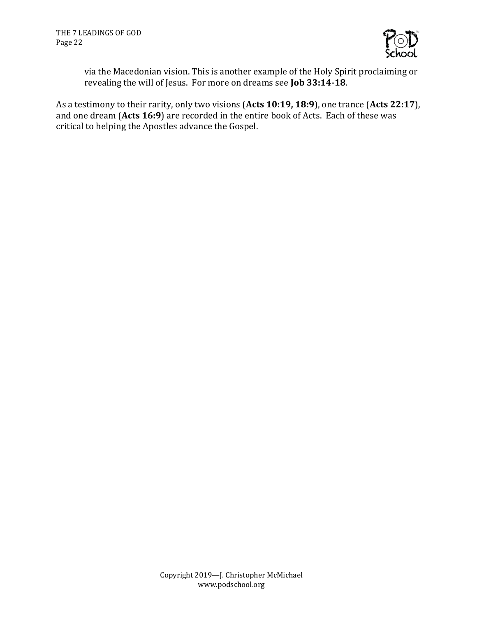

via the Macedonian vision. This is another example of the Holy Spirit proclaiming or revealing the will of Jesus. For more on dreams see **Job 33:14-18**.

As a testimony to their rarity, only two visions (Acts 10:19, 18:9), one trance (Acts 22:17), and one dream (Acts 16:9) are recorded in the entire book of Acts. Each of these was critical to helping the Apostles advance the Gospel.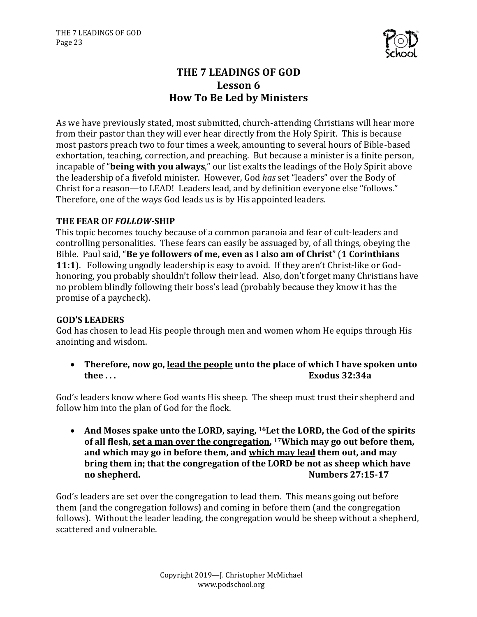

# **THE 7 LEADINGS OF GOD** Lesson 6 **How To Be Led by Ministers**

As we have previously stated, most submitted, church-attending Christians will hear more from their pastor than they will ever hear directly from the Holy Spirit. This is because most pastors preach two to four times a week, amounting to several hours of Bible-based exhortation, teaching, correction, and preaching. But because a minister is a finite person, incapable of "**being with you always**," our list exalts the leadings of the Holy Spirit above the leadership of a fivefold minister. However, God has set "leaders" over the Body of Christ for a reason—to LEAD! Leaders lead, and by definition everyone else "follows." Therefore, one of the ways God leads us is by His appointed leaders.

## **THE FEAR OF** *FOLLOW***-SHIP**

This topic becomes touchy because of a common paranoia and fear of cult-leaders and controlling personalities. These fears can easily be assuaged by, of all things, obeying the Bible. Paul said, "**Be ve followers of me, even as I also am of Christ**" (1 Corinthians **11:1**). Following ungodly leadership is easy to avoid. If they aren't Christ-like or Godhonoring, you probably shouldn't follow their lead. Also, don't forget many Christians have no problem blindly following their boss's lead (probably because they know it has the promise of a paycheck).

# **GOD'S LEADERS**

God has chosen to lead His people through men and women whom He equips through His anointing and wisdom.

• Therefore, now go, lead the people unto the place of which I have spoken unto **thee ... Exodus** 32:34a

God's leaders know where God wants His sheep. The sheep must trust their shepherd and follow him into the plan of God for the flock.

• And Moses spake unto the LORD, saying, <sup>16</sup>Let the LORD, the God of the spirits of all flesh, set a man over the congregation, <sup>17</sup>Which may go out before them, and which may go in before them, and which may lead them out, and may **bring them in; that the congregation of the LORD be not as sheep which have no** shepherd. **Numbers** 27:15-17

God's leaders are set over the congregation to lead them. This means going out before them (and the congregation follows) and coming in before them (and the congregation follows). Without the leader leading, the congregation would be sheep without a shepherd, scattered and vulnerable.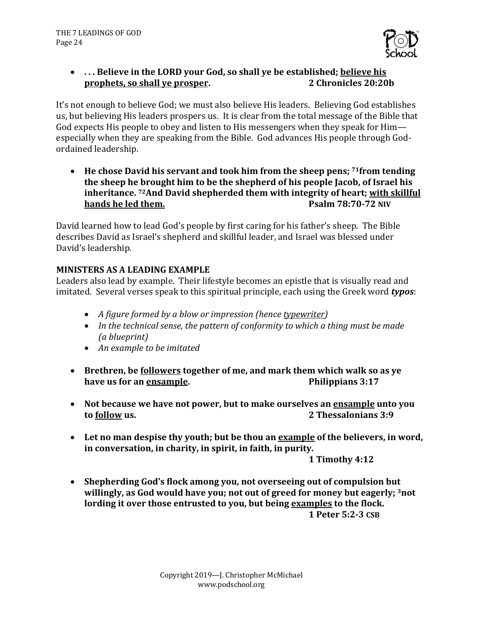

# • ... Believe in the LORD vour God, so shall ve be established; believe his **prophets, so shall ve prosper. 2** Chronicles 20:20b

It's not enough to believe God; we must also believe His leaders. Believing God establishes us, but believing His leaders prospers us. It is clear from the total message of the Bible that God expects His people to obey and listen to His messengers when they speak for Him especially when they are speaking from the Bible. God advances His people through Godordained leadership.

• He chose David his servant and took him from the sheep pens; <sup>71</sup>from tending the sheep he brought him to be the shepherd of his people Jacob, of Israel his **inheritance.** <sup>72</sup>And David shepherded them with integrity of heart; with skillful **hands he led them.** *Psalm 78:70-72 NIV* 

David learned how to lead God's people by first caring for his father's sheep. The Bible describes David as Israel's shepherd and skillful leader, and Israel was blessed under David's leadership.

# **MINISTERS AS A LEADING EXAMPLE**

Leaders also lead by example. Their lifestyle becomes an epistle that is visually read and imitated. Several verses speak to this spiritual principle, each using the Greek word **typos**:

- *A figure formed by a blow or impression (hence typewriter)*
- In the technical sense, the pattern of conformity to which a thing must be made *(a blueprint)*
- An example to be imitated
- Brethren, be followers together of me, and mark them which walk so as ve **have us for an ensample. Philippians 3:17**
- Not because we have not power, but to make ourselves an ensample unto you **to <u>follow</u> us. 2 Thessalonians 3:9**
- Let no man despise thy youth; but be thou an **example** of the believers, in word, in conversation, in charity, in spirit, in faith, in purity.

**1 Timothy 4:12**

• Shepherding God's flock among you, not overseeing out of compulsion but willingly, as God would have you; not out of greed for money but eagerly; <sup>3</sup>not lording it over those entrusted to you, but being examples to the flock. **1 Peter 5:2-3 CSB**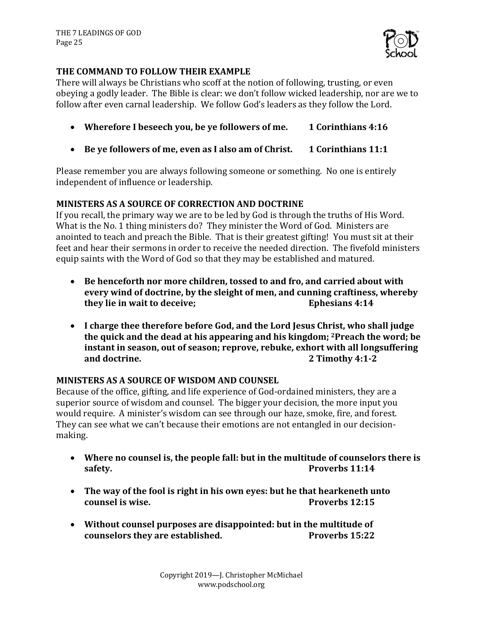

## **THE COMMAND TO FOLLOW THEIR EXAMPLE**

There will always be Christians who scoff at the notion of following, trusting, or even obeying a godly leader. The Bible is clear: we don't follow wicked leadership, nor are we to follow after even carnal leadership. We follow God's leaders as they follow the Lord.

- Wherefore I beseech you, be ye followers of me. 1 Corinthians 4:16
- Be ye followers of me, even as I also am of Christ. 1 Corinthians 11:1

Please remember you are always following someone or something. No one is entirely independent of influence or leadership.

## **MINISTERS AS A SOURCE OF CORRECTION AND DOCTRINE**

If you recall, the primary way we are to be led by God is through the truths of His Word. What is the No. 1 thing ministers do? They minister the Word of God. Ministers are anointed to teach and preach the Bible. That is their greatest gifting! You must sit at their feet and hear their sermons in order to receive the needed direction. The fivefold ministers equip saints with the Word of God so that they may be established and matured.

- Be henceforth nor more children, tossed to and fro, and carried about with every wind of doctrine, by the sleight of men, and cunning craftiness, whereby **they lie in wait to deceive; Ephesians 4:14**
- I charge thee therefore before God, and the Lord Jesus Christ, who shall judge the quick and the dead at his appearing and his kingdom; <sup>2</sup>Preach the word; be instant in season, out of season; reprove, rebuke, exhort with all longsuffering **and doctrine. 2 Timothy 4:1-2**

## **MINISTERS AS A SOURCE OF WISDOM AND COUNSEL**

Because of the office, gifting, and life experience of God-ordained ministers, they are a superior source of wisdom and counsel. The bigger your decision, the more input you would require. A minister's wisdom can see through our haze, smoke, fire, and forest. They can see what we can't because their emotions are not entangled in our decisionmaking.

- Where no counsel is, the people fall: but in the multitude of counselors there is **safety. Proverbs 11:14**
- The way of the fool is right in his own eyes: but he that hearkeneth unto **counsel is wise.** *Proverbs* 12:15
- Without counsel purposes are disappointed: but in the multitude of **counselors they are established.** Proverbs 15:22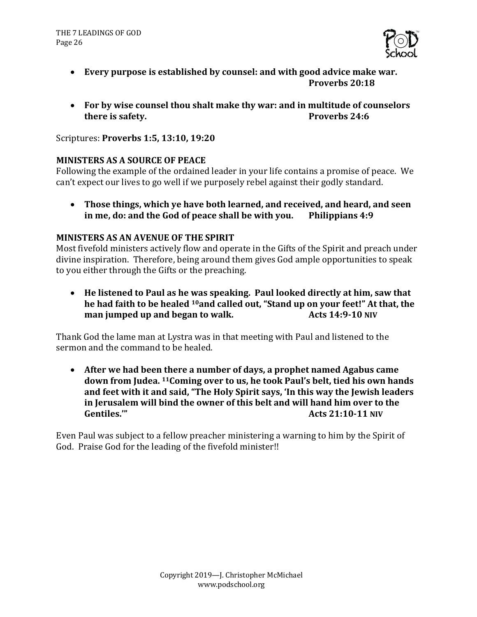

- Every purpose is established by counsel: and with good advice make war. **Proverbs 20:18**
- For by wise counsel thou shalt make thy war: and in multitude of counselors **there is safety. Proverbs 24:6**

Scriptures: **Proverbs 1:5, 13:10, 19:20**

#### **MINISTERS AS A SOURCE OF PEACE**

Following the example of the ordained leader in your life contains a promise of peace. We can't expect our lives to go well if we purposely rebel against their godly standard.

• Those things, which ye have both learned, and received, and heard, and seen **in me, do: and the God of peace shall be with you.** Philippians 4:9

#### **MINISTERS AS AN AVENUE OF THE SPIRIT**

Most fivefold ministers actively flow and operate in the Gifts of the Spirit and preach under divine inspiration. Therefore, being around them gives God ample opportunities to speak to you either through the Gifts or the preaching.

• He listened to Paul as he was speaking. Paul looked directly at him, saw that he had faith to be healed <sup>10</sup>and called out, "Stand up on your feet!" At that, the **man** jumped up and began to walk. Acts 14:9-10 NIV

Thank God the lame man at Lystra was in that meeting with Paul and listened to the sermon and the command to be healed.

• After we had been there a number of days, a prophet named Agabus came down from Judea. <sup>11</sup> Coming over to us, he took Paul's belt, tied his own hands and feet with it and said, "The Holy Spirit says, 'In this way the Jewish leaders in Jerusalem will bind the owner of this belt and will hand him over to the **Gentiles.'" Acts 21:10-11 NIV**

Even Paul was subject to a fellow preacher ministering a warning to him by the Spirit of God. Praise God for the leading of the fivefold minister!!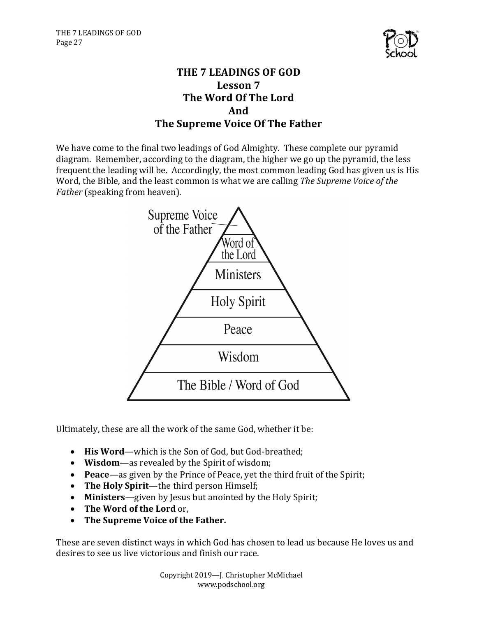

# **THE 7 LEADINGS OF GOD Lesson 7 The Word Of The Lord And The Supreme Voice Of The Father**

We have come to the final two leadings of God Almighty. These complete our pyramid diagram. Remember, according to the diagram, the higher we go up the pyramid, the less frequent the leading will be. Accordingly, the most common leading God has given us is His Word, the Bible, and the least common is what we are calling *The Supreme Voice of the Father* (speaking from heaven).



Ultimately, these are all the work of the same God, whether it be:

- His Word—which is the Son of God, but God-breathed;
- Wisdom—as revealed by the Spirit of wisdom;
- **Peace**—as given by the Prince of Peace, yet the third fruit of the Spirit;
- The Holy Spirit—the third person Himself;
- Ministers—given by Jesus but anointed by the Holy Spirit;
- The Word of the Lord or,
- The Supreme Voice of the Father.

These are seven distinct ways in which God has chosen to lead us because He loves us and desires to see us live victorious and finish our race.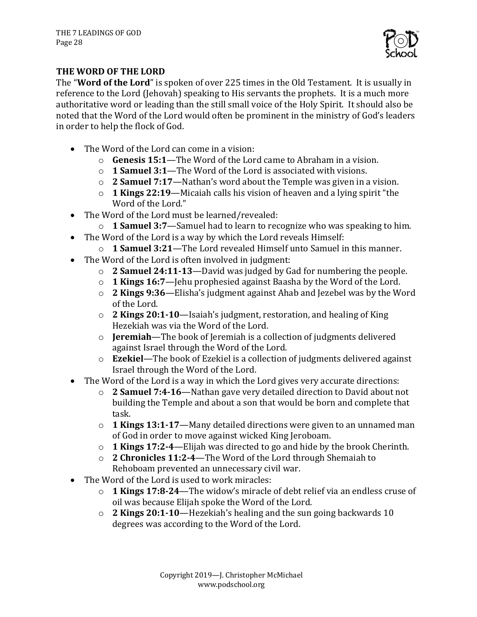

# **THE WORD OF THE LORD**

The "Word of the Lord" is spoken of over 225 times in the Old Testament. It is usually in reference to the Lord (Jehovah) speaking to His servants the prophets. It is a much more authoritative word or leading than the still small voice of the Holy Spirit. It should also be noted that the Word of the Lord would often be prominent in the ministry of God's leaders in order to help the flock of God.

- The Word of the Lord can come in a vision:
	- **Genesis 15:1—The** Word of the Lord came to Abraham in a vision.
	- o **1 Samuel 3:1**—The Word of the Lord is associated with visions.
	- $\circ$  **2 Samuel 7:17**—Nathan's word about the Temple was given in a vision.
	- o **1 Kings 22:19**—Micaiah calls his vision of heaven and a lying spirit "the Word of the Lord."
- The Word of the Lord must be learned/revealed:
	- o **1 Samuel 3:7**—Samuel had to learn to recognize who was speaking to him.
- The Word of the Lord is a way by which the Lord reveals Himself:
	- $\circ$  **1 Samuel 3:21**—The Lord revealed Himself unto Samuel in this manner.
- The Word of the Lord is often involved in judgment:
	- $\circ$  **2 Samuel 24:11-13**—David was judged by Gad for numbering the people.
	- o **1 Kings 16:7**—Jehu prophesied against Baasha by the Word of the Lord.
	- o **2 Kings 9:36**—Elisha's judgment against Ahab and Jezebel was by the Word of the Lord.
	- o **2 Kings 20:1-10**—Isaiah's judgment, restoration, and healing of King Hezekiah was via the Word of the Lord.
	- o **Jeremiah—The** book of Jeremiah is a collection of judgments delivered against Israel through the Word of the Lord.
	- o **Ezekiel**—The book of Ezekiel is a collection of judgments delivered against Israel through the Word of the Lord.
- The Word of the Lord is a way in which the Lord gives very accurate directions:
	- **2 Samuel 7:4-16**—Nathan gave very detailed direction to David about not building the Temple and about a son that would be born and complete that task.
	- $\circ$  **1 Kings 13:1-17**—Many detailed directions were given to an unnamed man of God in order to move against wicked King Jeroboam.
	- o **1 Kings 17:2-4**—Elijah was directed to go and hide by the brook Cherinth.
	- o **2 Chronicles 11:2-4**—The Word of the Lord through Shemaiah to Rehoboam prevented an unnecessary civil war.
- The Word of the Lord is used to work miracles:
	- o **1 Kings 17:8-24**—The widow's miracle of debt relief via an endless cruse of oil was because Elijah spoke the Word of the Lord.
	- o **2 Kings 20:1-10**—Hezekiah's healing and the sun going backwards 10 degrees was according to the Word of the Lord.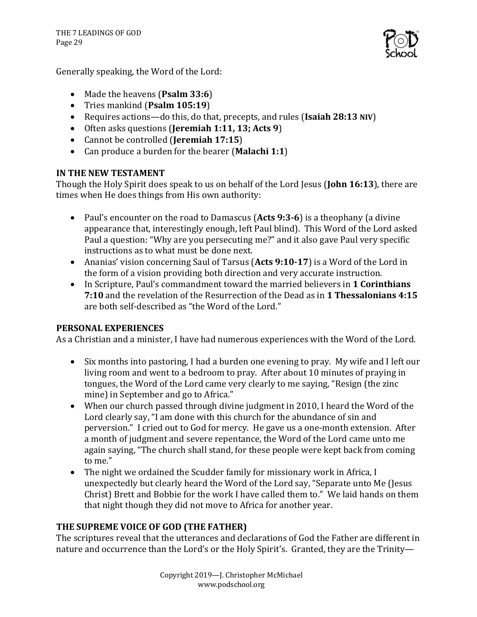

Generally speaking, the Word of the Lord:

- Made the heavens (Psalm 33:6)
- Tries mankind (**Psalm 105:19**)
- Requires actions—do this, do that, precepts, and rules (Isaiah 28:13 NIV)
- Often asks questions (Jeremiah 1:11, 13; Acts 9)
- Cannot be controlled (**Jeremiah 17:15**)
- Can produce a burden for the bearer (Malachi 1:1)

# **IN THE NEW TESTAMENT**

Though the Holy Spirit does speak to us on behalf of the Lord Jesus (**John 16:13**), there are times when He does things from His own authority:

- Paul's encounter on the road to Damascus (Acts 9:3-6) is a theophany (a divine appearance that, interestingly enough, left Paul blind). This Word of the Lord asked Paul a question: "Why are you persecuting me?" and it also gave Paul very specific instructions as to what must be done next.
- Ananias' vision concerning Saul of Tarsus (Acts 9:10-17) is a Word of the Lord in the form of a vision providing both direction and very accurate instruction.
- In Scripture, Paul's commandment toward the married believers in **1 Corinthians 7:10** and the revelation of the Resurrection of the Dead as in **1 Thessalonians 4:15** are both self-described as "the Word of the Lord."

## **PERSONAL EXPERIENCES**

As a Christian and a minister, I have had numerous experiences with the Word of the Lord.

- Six months into pastoring, I had a burden one evening to pray. My wife and I left our living room and went to a bedroom to pray. After about 10 minutes of praying in tongues, the Word of the Lord came very clearly to me saying, "Resign (the zinc mine) in September and go to Africa."
- When our church passed through divine judgment in 2010, I heard the Word of the Lord clearly say, "I am done with this church for the abundance of sin and perversion." I cried out to God for mercy. He gave us a one-month extension. After a month of judgment and severe repentance, the Word of the Lord came unto me again saying, "The church shall stand, for these people were kept back from coming to me."
- The night we ordained the Scudder family for missionary work in Africa, I unexpectedly but clearly heard the Word of the Lord say, "Separate unto Me (Jesus Christ) Brett and Bobbie for the work I have called them to." We laid hands on them that night though they did not move to Africa for another year.

# THE SUPREME VOICE OF GOD (THE FATHER)

The scriptures reveal that the utterances and declarations of God the Father are different in nature and occurrence than the Lord's or the Holy Spirit's. Granted, they are the Trinity-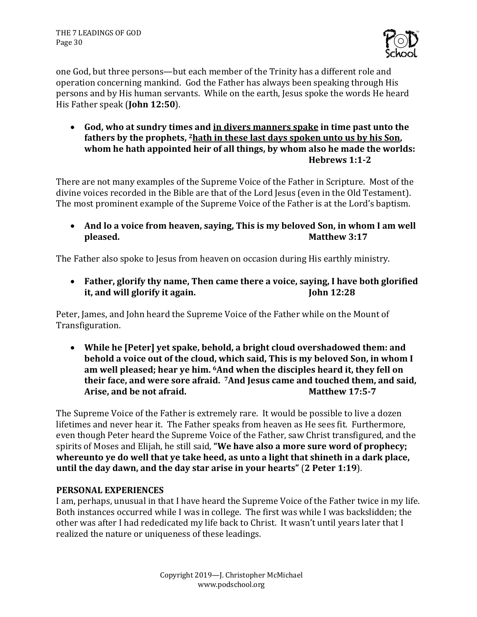

one God, but three persons—but each member of the Trinity has a different role and operation concerning mankind. God the Father has always been speaking through His persons and by His human servants. While on the earth, Jesus spoke the words He heard His Father speak (**John 12:50**).

• God, who at sundry times and in divers manners spake in time past unto the fathers by the prophets, <sup>2</sup> hath in these last days spoken unto us by his Son, whom he hath appointed heir of all things, by whom also he made the worlds: **Hebrews 1:1-2**

There are not many examples of the Supreme Voice of the Father in Scripture. Most of the divine voices recorded in the Bible are that of the Lord Jesus (even in the Old Testament). The most prominent example of the Supreme Voice of the Father is at the Lord's baptism.

• And lo a voice from heaven, saying, This is my beloved Son, in whom I am well **pleased. Matthew 3:17** 

The Father also spoke to Jesus from heaven on occasion during His earthly ministry.

• Father, glorify thy name, Then came there a voice, saying, I have both glorified **it, and will glorify it again.** John 12:28

Peter, James, and John heard the Supreme Voice of the Father while on the Mount of Transfiguration. 

• While he [Peter] yet spake, behold, a bright cloud overshadowed them: and **behold a voice out of the cloud, which said, This is my beloved Son, in whom I** am well pleased; hear ve him. <sup>6</sup>And when the disciples heard it, they fell on their face, and were sore afraid. <sup>7</sup>And Jesus came and touched them, and said, **Arise, and be not afraid. Matthew 17:5-7** 

The Supreme Voice of the Father is extremely rare. It would be possible to live a dozen lifetimes and never hear it. The Father speaks from heaven as He sees fit. Furthermore, even though Peter heard the Supreme Voice of the Father, saw Christ transfigured, and the spirits of Moses and Elijah, he still said, "We have also a more sure word of prophecy; whereunto ye do well that ye take heed, as unto a light that shineth in a dark place, **until the day dawn, and the day star arise in your hearts" (2 Peter 1:19).** 

## **PERSONAL EXPERIENCES**

I am, perhaps, unusual in that I have heard the Supreme Voice of the Father twice in my life. Both instances occurred while I was in college. The first was while I was backslidden; the other was after I had rededicated my life back to Christ. It wasn't until years later that I realized the nature or uniqueness of these leadings.